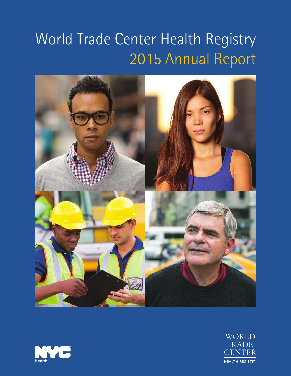# World Trade Center Health Registry 2015 Annual Report





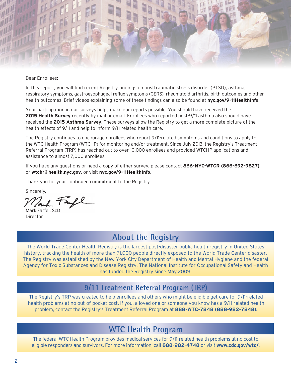

#### Dear Enrollees:

In this report, you will find recent Registry findings on posttraumatic stress disorder (PTSD), asthma, respiratory symptoms, gastroesophageal reflux symptoms (GERS), rheumatoid arthritis, birth outcomes and other health outcomes. Brief videos explaining some of these findings can also be found at **nyc.gov/9-11HealthInfo**.

Your participation in our surveys helps make our reports possible. You should have received the **2015 Health Survey** recently by mail or email. Enrollees who reported post-9/11 asthma also should have received the **2015 Asthma Survey**. These surveys allow the Registry to get a more complete picture of the health effects of 9/11 and help to inform 9/11-related health care.

The Registry continues to encourage enrollees who report 9/11-related symptoms and conditions to apply to the WTC Health Program (WTCHP) for monitoring and/or treatment. Since July 2013, the Registry's Treatment Referral Program (TRP) has reached out to over 10,000 enrollees and provided WTCHP applications and assistance to almost 7,000 enrollees.

If you have any questions or need a copy of either survey, please contact **866-NYC-WTCR (866-692-9827)** or **[wtchr@health.nyc.gov](mailto:wtchr@health.nyc.gov)**, or visit **nyc.gov/9-11HealthInfo**.

Thank you for your continued commitment to the Registry.

Sincerely,

Mark Farfel, ScD Director

## **About the Registry**

The World Trade Center Health Registry is the largest post-disaster public health registry in United States history, tracking the health of more than 71,000 people directly exposed to the World Trade Center disaster. The Registry was established by the New York City Department of Health and Mental Hygiene and the federal Agency for Toxic Substances and Disease Registry. The National Institute for Occupational Safety and Health has funded the Registry since May 2009.

#### **9/11 Treatment Referral Program (TRP)**

The Registry's TRP was created to help enrollees and others who might be eligible get care for 9/11-related health problems at no out-of-pocket cost. If you, a loved one or someone you know has a 9/11-related health problem, contact the Registry's Treatment Referral Program at **888-WTC-7848 (888-982-7848).**

#### **WTC Health Program**

The federal WTC Health Program provides medical services for 9/11-related health problems at no cost to eligible responders and survivors. For more information, call **888-982-4748** or visit **[www.cdc.gov/wtc/](file:///C:\Users\josoro\AppData\Local\Microsoft\Windows\Temporary%20Internet%20Files\Content.Outlook\CIZ2VI0Q\www.cdc.gov\wtc\)**.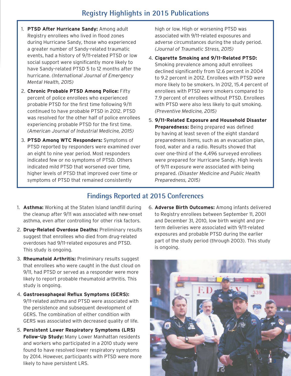## **Registry Highlights in 2015 Publications**

- 1. **PTSD After Hurricane Sandy:** Among adult Registry enrollees who lived in flood zones during Hurricane Sandy, those who experienced a greater number of Sandy-related traumatic events, had a history of 9/11-related PTSD or low social support were significantly more likely to have Sandy-related PTSD 5 to 12 months after the hurricane. *(International Journal of Emergency Mental Health, 2015)*
- 2. **Chronic Probable PTSD Among Police:** Fifty percent of police enrollees who experienced probable PTSD for the first time following 9/11 continued to have probable PTSD in 2012. PTSD was resolved for the other half of police enrollees experiencing probable PTSD for the first time. *(American Journal of Industrial Medicine, 2015)*
- 3. **PTSD Among WTC Responders:** Symptoms of PTSD reported by responders were examined over an eight to nine year period. Most responders indicated few or no symptoms of PTSD. Others indicated mild PTSD that worsened over time, higher levels of PTSD that improved over time or symptoms of PTSD that remained consistently

high or low. High or worsening PTSD was associated with 9/11-related exposures and adverse circumstances during the study period. *(Journal of Traumatic Stress, 2015)* 

- 4. **Cigarette Smoking and 9/11-Related PTSD:**  Smoking prevalence among adult enrollees declined significantly from 12.6 percent in 2004 to 9.2 percent in 2012. Enrollees with PTSD were more likely to be smokers. In 2012, 15.4 percent of enrollees with PTSD were smokers compared to 7.9 percent of enrollees without PTSD. Enrollees with PTSD were also less likely to quit smoking. *(Preventive Medicine, 2015)*
- 5. **9/11-Related Exposure and Household Disaster Preparedness:** Being prepared was defined by having at least seven of the eight standard preparedness items, such as an evacuation plan, food, water and a radio. Results showed that over one-third of the 4,496 surveyed enrollees were prepared for Hurricane Sandy. High levels of 9/11 exposure were associated with being prepared. *(Disaster Medicine and Public Health Preparedness, 2015)*

#### **Findings Reported at 2015 Conferences**

- 1. **Asthma:** Working at the Staten Island landfill during the cleanup after 9/11 was associated with new-onset asthma, even after controlling for other risk factors.
- 2. **Drug-Related Overdose Deaths:** Preliminary results suggest that enrollees who died from drug-related overdoses had 9/11-related exposures and PTSD. This study is ongoing.
- 3. **Rheumatoid Arthritis:** Preliminary results suggest that enrollees who were caught in the dust cloud on 9/11, had PTSD or served as a responder were more likely to report probable rheumatoid arthritis. This study is ongoing.
- 4. **Gastroesophageal Reflux Symptoms (GERS):**  9/11-related asthma and PTSD were associated with the persistence and subsequent development of GERS. The combination of either condition with GERS was associated with decreased quality of life.
- 5. **Persistent Lower Respiratory Symptoms (LRS) Follow-Up Study:** Many Lower Manhattan residents and workers who participated in a 2010 study were found to have resolved lower respiratory symptoms by 2014. However, participants with PTSD were more likely to have persistent LRS.

6. **Adverse Birth Outcomes:** Among infants delivered to Registry enrollees between September 11, 2001 and December 31, 2010, low birth weight and preterm deliveries were associated with 9/11-related exposures and probable PTSD during the earlier part of the study period (through 2003). This study is ongoing.